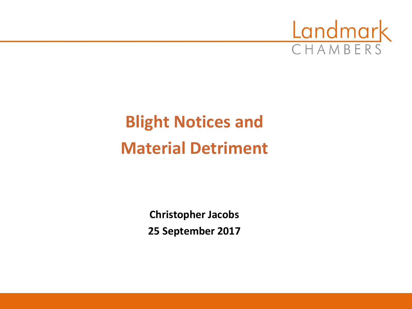

# **Blight Notices and Material Detriment**

**Christopher Jacobs 25 September 2017**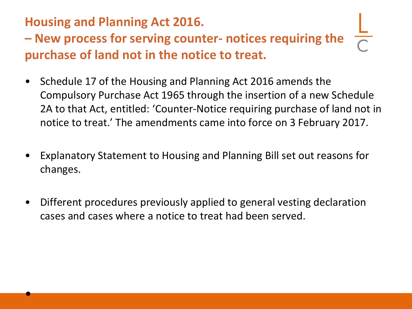### **Housing and Planning Act 2016.**

•

**– New process for serving counter- notices requiring the purchase of land not in the notice to treat.** 

- Schedule 17 of the Housing and Planning Act 2016 amends the Compulsory Purchase Act 1965 through the insertion of a new Schedule 2A to that Act, entitled: 'Counter-Notice requiring purchase of land not in notice to treat.' The amendments came into force on 3 February 2017.
- Explanatory Statement to Housing and Planning Bill set out reasons for changes.
- Different procedures previously applied to general vesting declaration cases and cases where a notice to treat had been served.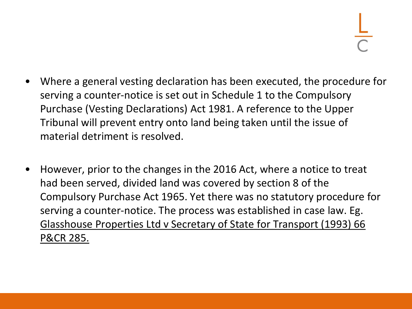- Where a general vesting declaration has been executed, the procedure for serving a counter-notice is set out in Schedule 1 to the Compulsory Purchase (Vesting Declarations) Act 1981. A reference to the Upper Tribunal will prevent entry onto land being taken until the issue of material detriment is resolved.
- However, prior to the changes in the 2016 Act, where a notice to treat had been served, divided land was covered by section 8 of the Compulsory Purchase Act 1965. Yet there was no statutory procedure for serving a counter‐notice. The process was established in case law. Eg. Glasshouse Properties Ltd v Secretary of State for Transport (1993) 66 P&CR 285.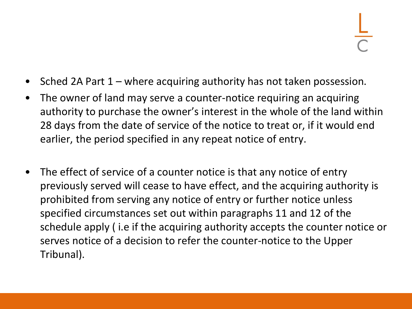- Sched 2A Part 1 where acquiring authority has not taken possession.
- The owner of land may serve a counter-notice requiring an acquiring authority to purchase the owner's interest in the whole of the land within 28 days from the date of service of the notice to treat or, if it would end earlier, the period specified in any repeat notice of entry.
- The effect of service of a counter notice is that any notice of entry previously served will cease to have effect, and the acquiring authority is prohibited from serving any notice of entry or further notice unless specified circumstances set out within paragraphs 11 and 12 of the schedule apply ( i.e if the acquiring authority accepts the counter notice or serves notice of a decision to refer the counter-notice to the Upper Tribunal).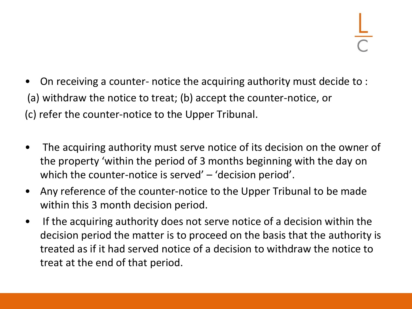- On receiving a counter- notice the acquiring authority must decide to : (a) withdraw the notice to treat; (b) accept the counter-notice, or (c) refer the counter-notice to the Upper Tribunal.
- The acquiring authority must serve notice of its decision on the owner of the property 'within the period of 3 months beginning with the day on which the counter-notice is served' – 'decision period'.
- Any reference of the counter-notice to the Upper Tribunal to be made within this 3 month decision period.
- If the acquiring authority does not serve notice of a decision within the decision period the matter is to proceed on the basis that the authority is treated as if it had served notice of a decision to withdraw the notice to treat at the end of that period.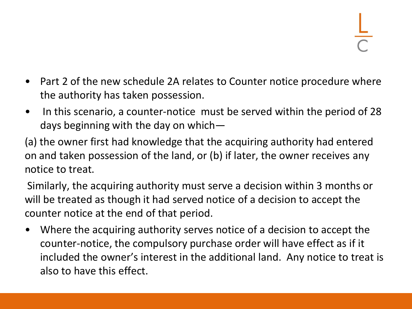- Part 2 of the new schedule 2A relates to Counter notice procedure where the authority has taken possession.
- In this scenario, a counter-notice must be served within the period of 28 days beginning with the day on which—

(a) the owner first had knowledge that the acquiring authority had entered on and taken possession of the land, or (b) if later, the owner receives any notice to treat.

Similarly, the acquiring authority must serve a decision within 3 months or will be treated as though it had served notice of a decision to accept the counter notice at the end of that period.

• Where the acquiring authority serves notice of a decision to accept the counter-notice, the compulsory purchase order will have effect as if it included the owner's interest in the additional land. Any notice to treat is also to have this effect.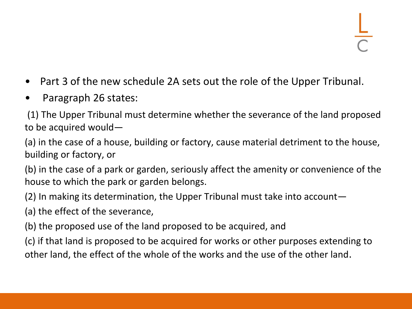- Part 3 of the new schedule 2A sets out the role of the Upper Tribunal.
- Paragraph 26 states:

(1) The Upper Tribunal must determine whether the severance of the land proposed to be acquired would—

(a) in the case of a house, building or factory, cause material detriment to the house, building or factory, or

(b) in the case of a park or garden, seriously affect the amenity or convenience of the house to which the park or garden belongs.

(2) In making its determination, the Upper Tribunal must take into account—

(a) the effect of the severance,

(b) the proposed use of the land proposed to be acquired, and

(c) if that land is proposed to be acquired for works or other purposes extending to other land, the effect of the whole of the works and the use of the other land.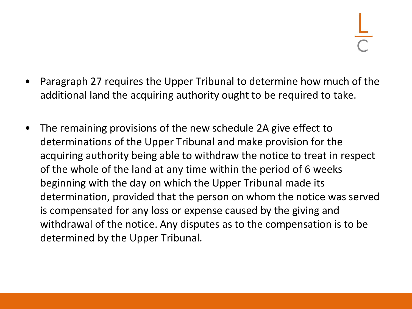- Paragraph 27 requires the Upper Tribunal to determine how much of the additional land the acquiring authority ought to be required to take.
- The remaining provisions of the new schedule 2A give effect to determinations of the Upper Tribunal and make provision for the acquiring authority being able to withdraw the notice to treat in respect of the whole of the land at any time within the period of 6 weeks beginning with the day on which the Upper Tribunal made its determination, provided that the person on whom the notice was served is compensated for any loss or expense caused by the giving and withdrawal of the notice. Any disputes as to the compensation is to be determined by the Upper Tribunal.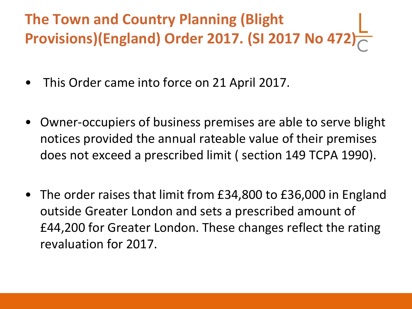## **The Town and Country Planning (Blight Provisions)(England) Order 2017. (SI 2017 No 472)**

- This Order came into force on 21 April 2017.
- Owner-occupiers of business premises are able to serve blight notices provided the annual rateable value of their premises does not exceed a prescribed limit ( section 149 TCPA 1990).
- The order raises that limit from £34,800 to £36,000 in England outside Greater London and sets a prescribed amount of £44,200 for Greater London. These changes reflect the rating revaluation for 2017.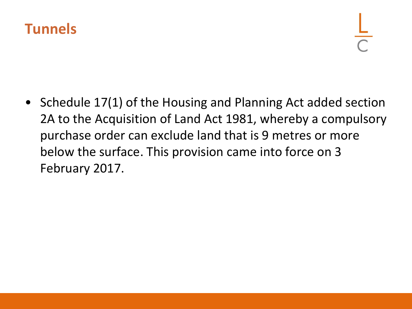

• Schedule 17(1) of the Housing and Planning Act added section 2A to the Acquisition of Land Act 1981, whereby a compulsory purchase order can exclude land that is 9 metres or more below the surface. This provision came into force on 3 February 2017.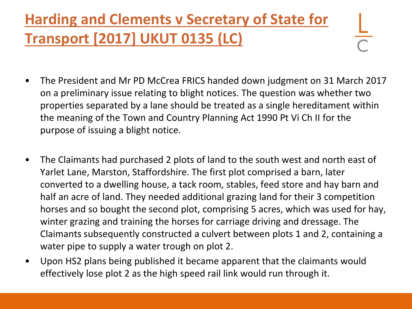### **Harding and Clements v Secretary of State for Transport [2017] UKUT 0135 (LC)**

- The President and Mr PD McCrea FRICS handed down judgment on 31 March 2017 on a preliminary issue relating to blight notices. The question was whether two properties separated by a lane should be treated as a single hereditament within the meaning of the Town and Country Planning Act 1990 Pt Vi Ch II for the purpose of issuing a blight notice.
- The Claimants had purchased 2 plots of land to the south west and north east of Yarlet Lane, Marston, Staffordshire. The first plot comprised a barn, later converted to a dwelling house, a tack room, stables, feed store and hay barn and half an acre of land. They needed additional grazing land for their 3 competition horses and so bought the second plot, comprising 5 acres, which was used for hay, winter grazing and training the horses for carriage driving and dressage. The Claimants subsequently constructed a culvert between plots 1 and 2, containing a water pipe to supply a water trough on plot 2.
- Upon HS2 plans being published it became apparent that the claimants would effectively lose plot 2 as the high speed rail link would run through it.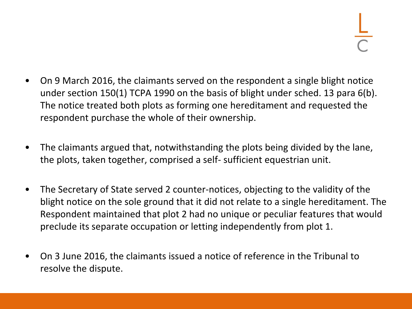- On 9 March 2016, the claimants served on the respondent a single blight notice under section 150(1) TCPA 1990 on the basis of blight under sched. 13 para 6(b). The notice treated both plots as forming one hereditament and requested the respondent purchase the whole of their ownership.
- The claimants argued that, notwithstanding the plots being divided by the lane, the plots, taken together, comprised a self- sufficient equestrian unit.
- The Secretary of State served 2 counter-notices, objecting to the validity of the blight notice on the sole ground that it did not relate to a single hereditament. The Respondent maintained that plot 2 had no unique or peculiar features that would preclude its separate occupation or letting independently from plot 1.
- On 3 June 2016, the claimants issued a notice of reference in the Tribunal to resolve the dispute.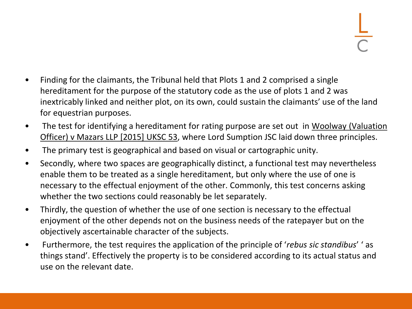- Finding for the claimants, the Tribunal held that Plots 1 and 2 comprised a single hereditament for the purpose of the statutory code as the use of plots 1 and 2 was inextricably linked and neither plot, on its own, could sustain the claimants' use of the land for equestrian purposes.
- The test for identifying a hereditament for rating purpose are set out in Woolway (Valuation Officer) v Mazars LLP [2015] UKSC 53, where Lord Sumption JSC laid down three principles.
- The primary test is geographical and based on visual or cartographic unity.
- Secondly, where two spaces are geographically distinct, a functional test may nevertheless enable them to be treated as a single hereditament, but only where the use of one is necessary to the effectual enjoyment of the other. Commonly, this test concerns asking whether the two sections could reasonably be let separately.
- Thirdly, the question of whether the use of one section is necessary to the effectual enjoyment of the other depends not on the business needs of the ratepayer but on the objectively ascertainable character of the subjects.
- Furthermore, the test requires the application of the principle of '*rebus sic standibus*' ' as things stand'. Effectively the property is to be considered according to its actual status and use on the relevant date.